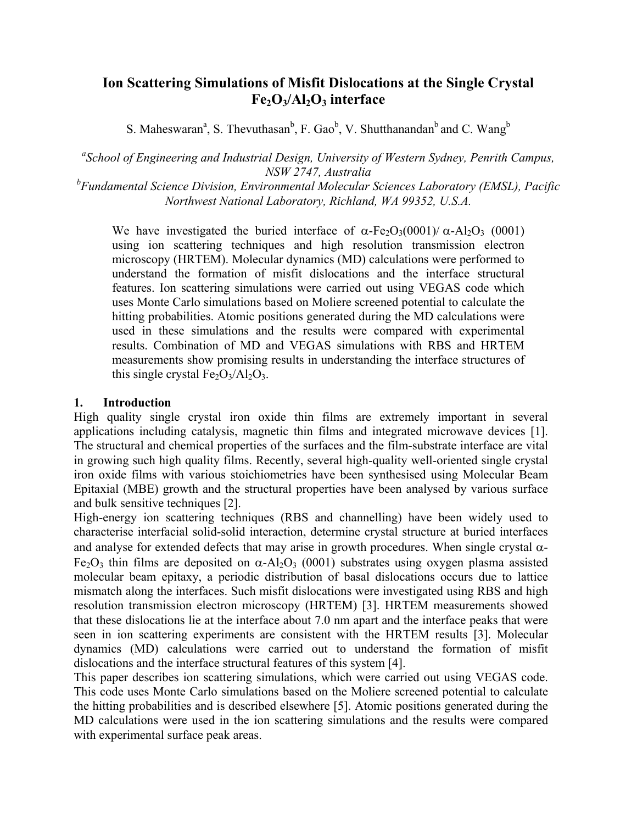# **Ion Scattering Simulations of Misfit Dislocations at the Single Crystal**  Fe<sub>2</sub>O<sub>3</sub>/Al<sub>2</sub>O<sub>3</sub> interface

S. Maheswaran<sup>a</sup>, S. Thevuthasan<sup>b</sup>, F. Gao<sup>b</sup>, V. Shutthanandan<sup>b</sup> and C. Wang<sup>b</sup>

*a School of Engineering and Industrial Design, University of Western Sydney, Penrith Campus, NSW 2747, Australia* 

*b Fundamental Science Division, Environmental Molecular Sciences Laboratory (EMSL), Pacific Northwest National Laboratory, Richland, WA 99352, U.S.A.* 

We have investigated the buried interface of  $\alpha$ -Fe<sub>2</sub>O<sub>3</sub>(0001)/  $\alpha$ -Al<sub>2</sub>O<sub>3</sub> (0001) using ion scattering techniques and high resolution transmission electron microscopy (HRTEM). Molecular dynamics (MD) calculations were performed to understand the formation of misfit dislocations and the interface structural features. Ion scattering simulations were carried out using VEGAS code which uses Monte Carlo simulations based on Moliere screened potential to calculate the hitting probabilities. Atomic positions generated during the MD calculations were used in these simulations and the results were compared with experimental results. Combination of MD and VEGAS simulations with RBS and HRTEM measurements show promising results in understanding the interface structures of this single crystal  $Fe<sub>2</sub>O<sub>3</sub>/Al<sub>2</sub>O<sub>3</sub>$ .

## **1. Introduction**

High quality single crystal iron oxide thin films are extremely important in several applications including catalysis, magnetic thin films and integrated microwave devices [1]. The structural and chemical properties of the surfaces and the film-substrate interface are vital in growing such high quality films. Recently, several high-quality well-oriented single crystal iron oxide films with various stoichiometries have been synthesised using Molecular Beam Epitaxial (MBE) growth and the structural properties have been analysed by various surface and bulk sensitive techniques [2].

High-energy ion scattering techniques (RBS and channelling) have been widely used to characterise interfacial solid-solid interaction, determine crystal structure at buried interfaces and analyse for extended defects that may arise in growth procedures. When single crystal  $\alpha$ -Fe<sub>2</sub>O<sub>3</sub> thin films are deposited on  $\alpha$ -Al<sub>2</sub>O<sub>3</sub> (0001) substrates using oxygen plasma assisted molecular beam epitaxy, a periodic distribution of basal dislocations occurs due to lattice mismatch along the interfaces. Such misfit dislocations were investigated using RBS and high resolution transmission electron microscopy (HRTEM) [3]. HRTEM measurements showed that these dislocations lie at the interface about 7.0 nm apart and the interface peaks that were seen in ion scattering experiments are consistent with the HRTEM results [3]. Molecular dynamics (MD) calculations were carried out to understand the formation of misfit dislocations and the interface structural features of this system [4].

This paper describes ion scattering simulations, which were carried out using VEGAS code. This code uses Monte Carlo simulations based on the Moliere screened potential to calculate the hitting probabilities and is described elsewhere [5]. Atomic positions generated during the MD calculations were used in the ion scattering simulations and the results were compared with experimental surface peak areas.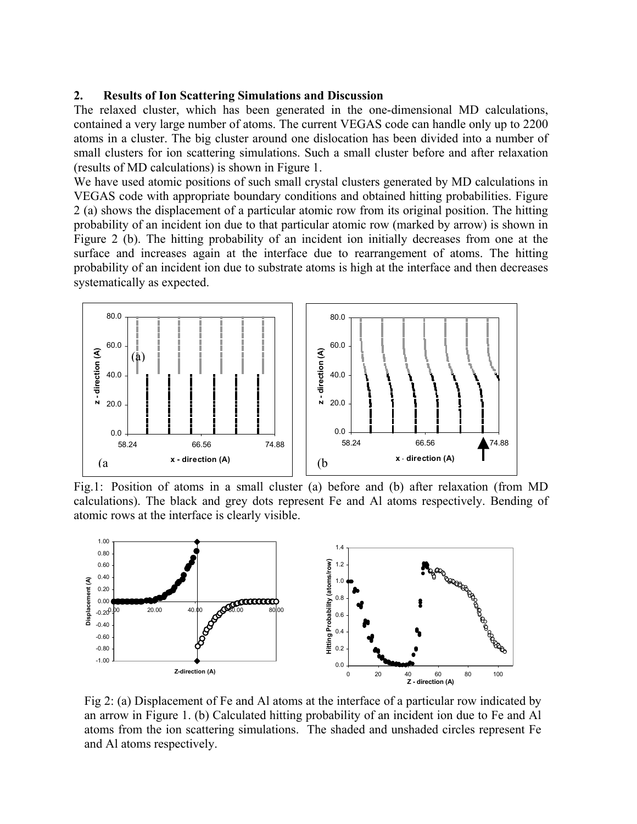#### **2. Results of Ion Scattering Simulations and Discussion**

The relaxed cluster, which has been generated in the one-dimensional MD calculations, contained a very large number of atoms. The current VEGAS code can handle only up to 2200 atoms in a cluster. The big cluster around one dislocation has been divided into a number of small clusters for ion scattering simulations. Such a small cluster before and after relaxation (results of MD calculations) is shown in Figure 1.

We have used atomic positions of such small crystal clusters generated by MD calculations in VEGAS code with appropriate boundary conditions and obtained hitting probabilities. Figure 2 (a) shows the displacement of a particular atomic row from its original position. The hitting probability of an incident ion due to that particular atomic row (marked by arrow) is shown in Figure 2 (b). The hitting probability of an incident ion initially decreases from one at the surface and increases again at the interface due to rearrangement of atoms. The hitting probability of an incident ion due to substrate atoms is high at the interface and then decreases systematically as expected.



Fig.1: Position of atoms in a small cluster (a) before and (b) after relaxation (from MD calculations). The black and grey dots represent Fe and Al atoms respectively. Bending of atomic rows at the interface is clearly visible.



Fig 2: (a) Displacement of Fe and Al atoms at the interface of a particular row indicated by an arrow in Figure 1. (b) Calculated hitting probability of an incident ion due to Fe and Al atoms from the ion scattering simulations. The shaded and unshaded circles represent Fe and Al atoms respectively.